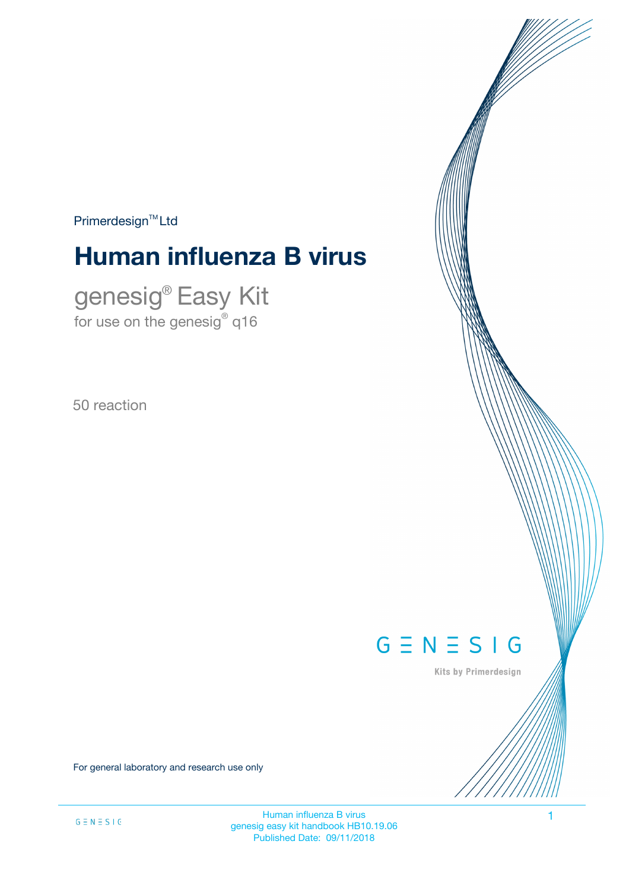$Primerdesign<sup>™</sup>Ltd$ 

# **Human influenza B virus**

genesig® Easy Kit for use on the genesig $^\circ$  q16

50 reaction



Kits by Primerdesign

For general laboratory and research use only

Human influenza B virus 1 genesig easy kit handbook HB10.19.06 Published Date: 09/11/2018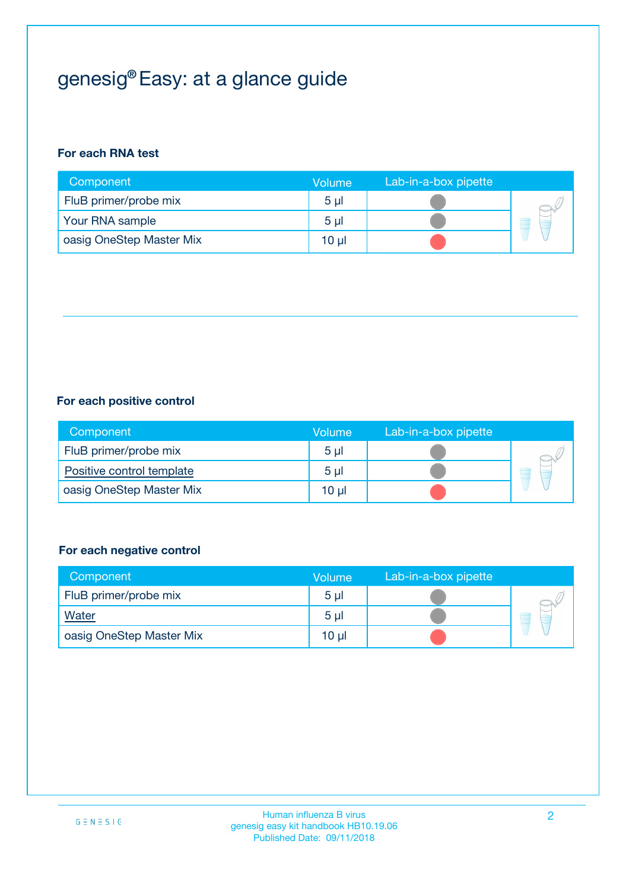# genesig® Easy: at a glance guide

#### **For each RNA test**

| Component                | <b>Volume</b>  | Lab-in-a-box pipette |  |
|--------------------------|----------------|----------------------|--|
| FluB primer/probe mix    | 5 <sub>µ</sub> |                      |  |
| Your RNA sample          | 5 <sub>µ</sub> |                      |  |
| oasig OneStep Master Mix | 10 µl          |                      |  |

#### **For each positive control**

| Component                 | Volume         | Lab-in-a-box pipette |  |
|---------------------------|----------------|----------------------|--|
| FluB primer/probe mix     | 5 <sub>µ</sub> |                      |  |
| Positive control template | 5 <sub>µ</sub> |                      |  |
| oasig OneStep Master Mix  | 10 µl          |                      |  |

#### **For each negative control**

| Component                | Volume         | Lab-in-a-box pipette |    |
|--------------------------|----------------|----------------------|----|
| FluB primer/probe mix    | 5 <sub>µ</sub> |                      |    |
| <b>Water</b>             | 5 <sub>µ</sub> |                      | ÷. |
| oasig OneStep Master Mix | 10 µl          |                      |    |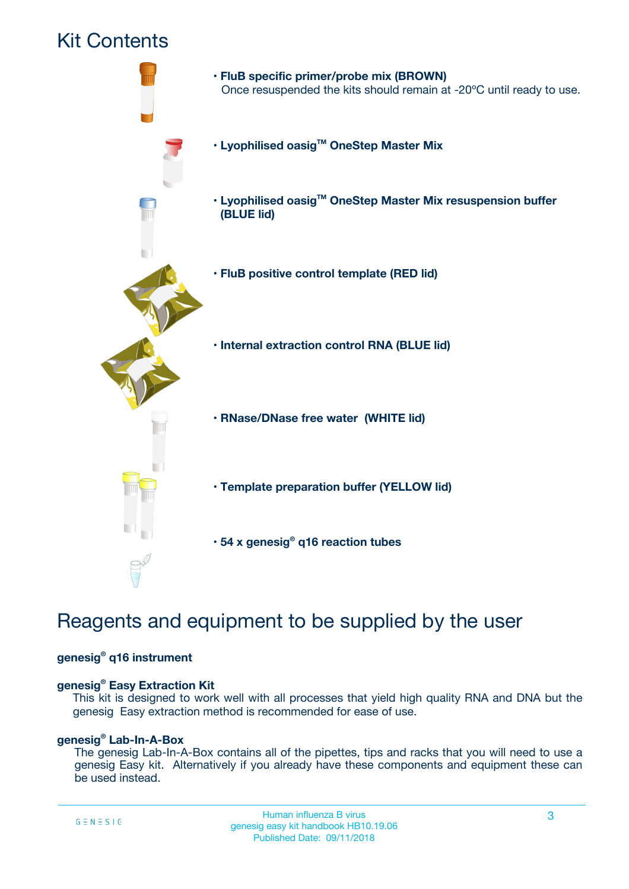## Kit Contents



## Reagents and equipment to be supplied by the user

#### **genesig® q16 instrument**

#### **genesig® Easy Extraction Kit**

This kit is designed to work well with all processes that yield high quality RNA and DNA but the genesig Easy extraction method is recommended for ease of use.

#### **genesig® Lab-In-A-Box**

The genesig Lab-In-A-Box contains all of the pipettes, tips and racks that you will need to use a genesig Easy kit. Alternatively if you already have these components and equipment these can be used instead.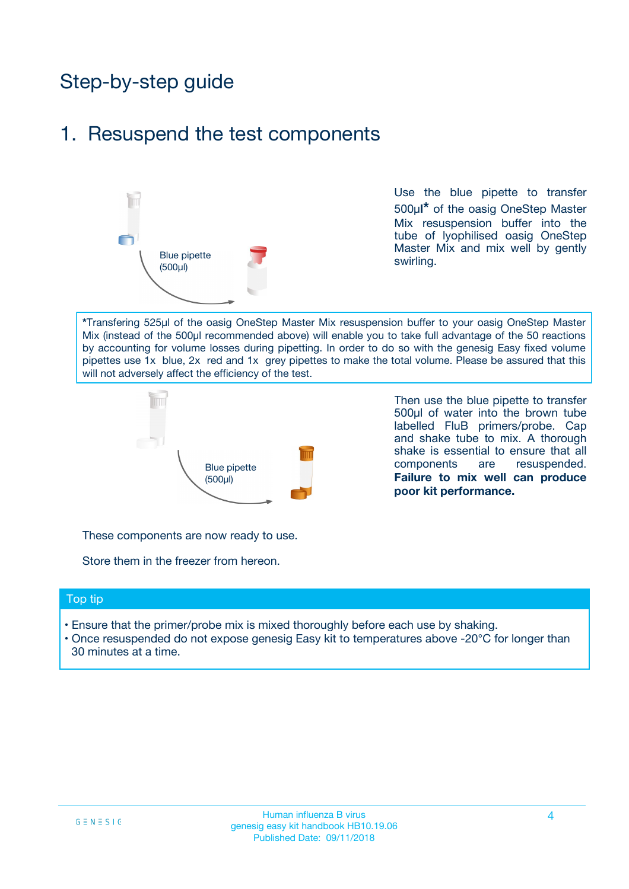## Step-by-step guide

### 1. Resuspend the test components



Use the blue pipette to transfer 500µ**l\*** of the oasig OneStep Master Mix resuspension buffer into the tube of lyophilised oasig OneStep Master Mix and mix well by gently swirling.

**\***Transfering 525µl of the oasig OneStep Master Mix resuspension buffer to your oasig OneStep Master Mix (instead of the 500µl recommended above) will enable you to take full advantage of the 50 reactions by accounting for volume losses during pipetting. In order to do so with the genesig Easy fixed volume pipettes use 1x blue, 2x red and 1x grey pipettes to make the total volume. Please be assured that this will not adversely affect the efficiency of the test.



Then use the blue pipette to transfer 500µl of water into the brown tube labelled FluB primers/probe. Cap and shake tube to mix. A thorough shake is essential to ensure that all components are resuspended. **Failure to mix well can produce poor kit performance.**

These components are now ready to use.

Store them in the freezer from hereon.

#### Top tip

- Ensure that the primer/probe mix is mixed thoroughly before each use by shaking.
- Once resuspended do not expose genesig Easy kit to temperatures above -20°C for longer than 30 minutes at a time.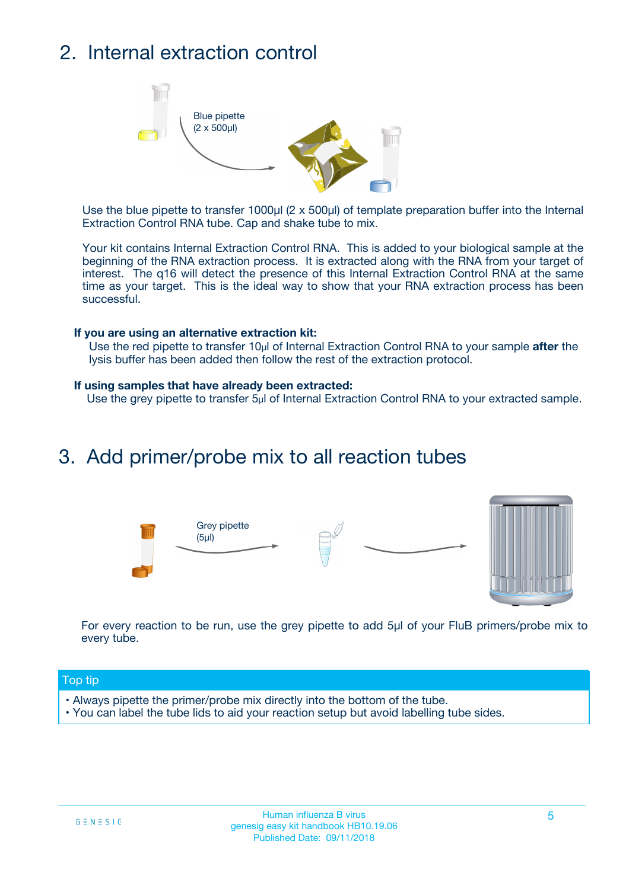## 2. Internal extraction control



Use the blue pipette to transfer 1000µl (2 x 500µl) of template preparation buffer into the Internal Extraction Control RNA tube. Cap and shake tube to mix.

Your kit contains Internal Extraction Control RNA. This is added to your biological sample at the beginning of the RNA extraction process. It is extracted along with the RNA from your target of interest. The q16 will detect the presence of this Internal Extraction Control RNA at the same time as your target. This is the ideal way to show that your RNA extraction process has been successful.

#### **If you are using an alternative extraction kit:**

Use the red pipette to transfer 10µl of Internal Extraction Control RNA to your sample **after** the lysis buffer has been added then follow the rest of the extraction protocol.

#### **If using samples that have already been extracted:**

Use the grey pipette to transfer 5µl of Internal Extraction Control RNA to your extracted sample.

### 3. Add primer/probe mix to all reaction tubes





For every reaction to be run, use the grey pipette to add 5µl of your FluB primers/probe mix to every tube.

#### Top tip

- Always pipette the primer/probe mix directly into the bottom of the tube.
- You can label the tube lids to aid your reaction setup but avoid labelling tube sides.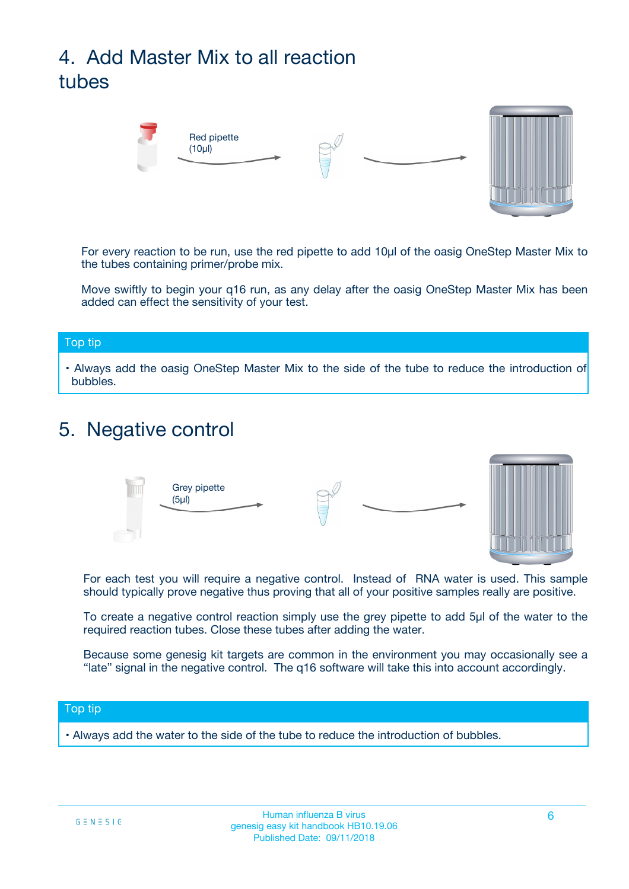# 4. Add Master Mix to all reaction tubes



For every reaction to be run, use the red pipette to add 10µl of the oasig OneStep Master Mix to the tubes containing primer/probe mix.

Move swiftly to begin your q16 run, as any delay after the oasig OneStep Master Mix has been added can effect the sensitivity of your test.

#### Top tip

**•** Always add the oasig OneStep Master Mix to the side of the tube to reduce the introduction of bubbles.

### 5. Negative control



For each test you will require a negative control. Instead of RNA water is used. This sample should typically prove negative thus proving that all of your positive samples really are positive.

To create a negative control reaction simply use the grey pipette to add 5µl of the water to the required reaction tubes. Close these tubes after adding the water.

Because some genesig kit targets are common in the environment you may occasionally see a "late" signal in the negative control. The q16 software will take this into account accordingly.

#### Top tip

**•** Always add the water to the side of the tube to reduce the introduction of bubbles.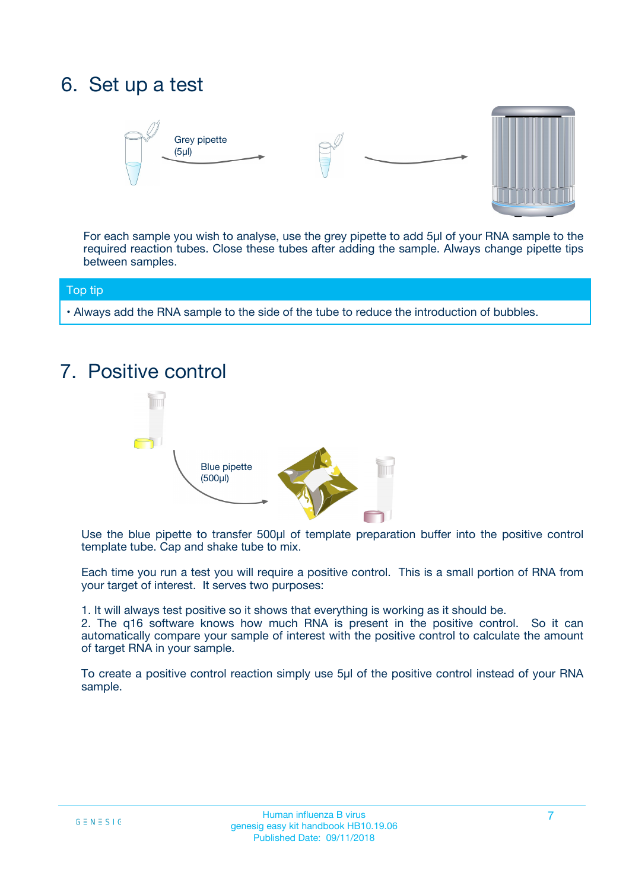## 6. Set up a test





For each sample you wish to analyse, use the grey pipette to add 5µl of your RNA sample to the required reaction tubes. Close these tubes after adding the sample. Always change pipette tips between samples.

#### Top tip

**•** Always add the RNA sample to the side of the tube to reduce the introduction of bubbles.

## 7. Positive control



Use the blue pipette to transfer 500µl of template preparation buffer into the positive control template tube. Cap and shake tube to mix.

Each time you run a test you will require a positive control. This is a small portion of RNA from your target of interest. It serves two purposes:

1. It will always test positive so it shows that everything is working as it should be.

2. The q16 software knows how much RNA is present in the positive control. So it can automatically compare your sample of interest with the positive control to calculate the amount of target RNA in your sample.

To create a positive control reaction simply use 5µl of the positive control instead of your RNA sample.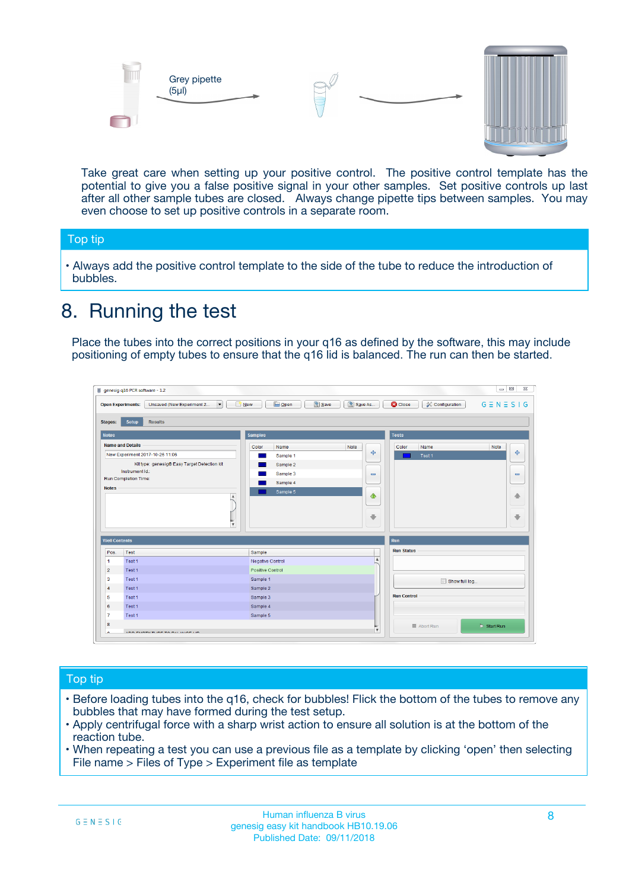



Take great care when setting up your positive control. The positive control template has the potential to give you a false positive signal in your other samples. Set positive controls up last after all other sample tubes are closed. Always change pipette tips between samples. You may even choose to set up positive controls in a separate room.

#### Top tip

**•** Always add the positive control template to the side of the tube to reduce the introduction of bubbles.

### 8. Running the test

Place the tubes into the correct positions in your q16 as defined by the software, this may include positioning of empty tubes to ensure that the q16 lid is balanced. The run can then be started.

|                         | genesig q16 PCR software - 1.2<br><b>Open Experiments:</b><br>Unsaved (New Experiment 2<br>$\blacktriangledown$                                                                                      | <b>E</b> Open<br>Save<br>$\sqrt{2}$ New                                   | $\Box$<br>Save As<br>$G \equiv N \equiv S \mid G$<br><b>B</b> Close<br><b>X</b> Configuration                    |
|-------------------------|------------------------------------------------------------------------------------------------------------------------------------------------------------------------------------------------------|---------------------------------------------------------------------------|------------------------------------------------------------------------------------------------------------------|
| Stages:<br><b>Notes</b> | Setup<br><b>Results</b>                                                                                                                                                                              | <b>Samples</b>                                                            |                                                                                                                  |
| <b>Notes</b>            | <b>Name and Details</b><br>New Experiment 2017-10-26 11:06<br>Kit type: genesig® Easy Target Detection kit<br>Instrument Id.:<br>Run Completion Time:<br>$\blacktriangle$<br>$\overline{\mathbf{v}}$ | Color<br>Name<br>Sample 1<br>Sample 2<br>Sample 3<br>Sample 4<br>Sample 5 | <b>Tests</b><br>Note<br>Color<br>Note<br>Name<br>على<br>4<br>Test 1<br>$\equiv$<br>$\equiv$<br>一个<br>借<br>÷<br>⊕ |
| <b>Well Contents</b>    |                                                                                                                                                                                                      |                                                                           | Run                                                                                                              |
| Pos.                    | Test                                                                                                                                                                                                 | Sample                                                                    | <b>Run Status</b>                                                                                                |
| $\blacktriangleleft$    | Test 1                                                                                                                                                                                               | Negative Control                                                          | $\blacktriangle$                                                                                                 |
| $\overline{2}$          | Test 1                                                                                                                                                                                               | Positive Control                                                          |                                                                                                                  |
| 3                       | Test 1                                                                                                                                                                                               | Sample 1                                                                  | Show full log                                                                                                    |
| $\overline{4}$          | Test 1                                                                                                                                                                                               | Sample 2                                                                  |                                                                                                                  |
| 5                       | Test 1                                                                                                                                                                                               | Sample 3                                                                  | <b>Run Control</b>                                                                                               |
| 6                       | Test <sub>1</sub>                                                                                                                                                                                    | Sample 4                                                                  |                                                                                                                  |
| $\overline{7}$          | Test 1                                                                                                                                                                                               | Sample 5                                                                  |                                                                                                                  |
| 8                       |                                                                                                                                                                                                      |                                                                           | $\triangleright$ Start Run<br>■ Abort Run                                                                        |
|                         |                                                                                                                                                                                                      |                                                                           | $\overline{\mathbf{v}}$                                                                                          |

#### Top tip

- Before loading tubes into the q16, check for bubbles! Flick the bottom of the tubes to remove any bubbles that may have formed during the test setup.
- Apply centrifugal force with a sharp wrist action to ensure all solution is at the bottom of the reaction tube.
- When repeating a test you can use a previous file as a template by clicking 'open' then selecting File name > Files of Type > Experiment file as template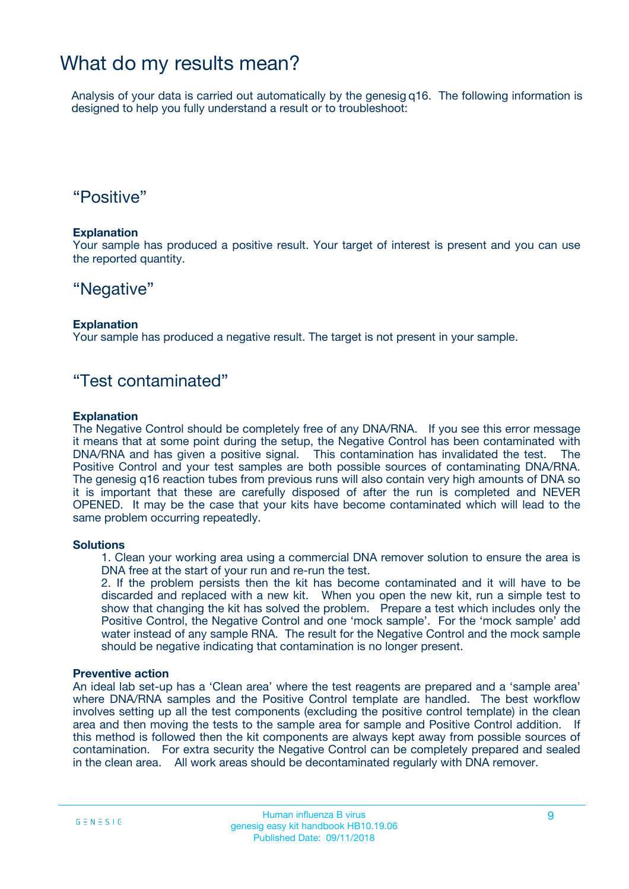### What do my results mean?

Analysis of your data is carried out automatically by the genesig q16. The following information is designed to help you fully understand a result or to troubleshoot:

### "Positive"

#### **Explanation**

Your sample has produced a positive result. Your target of interest is present and you can use the reported quantity.

### "Negative"

#### **Explanation**

Your sample has produced a negative result. The target is not present in your sample.

### "Test contaminated"

#### **Explanation**

The Negative Control should be completely free of any DNA/RNA. If you see this error message it means that at some point during the setup, the Negative Control has been contaminated with DNA/RNA and has given a positive signal. This contamination has invalidated the test. The Positive Control and your test samples are both possible sources of contaminating DNA/RNA. The genesig q16 reaction tubes from previous runs will also contain very high amounts of DNA so it is important that these are carefully disposed of after the run is completed and NEVER OPENED. It may be the case that your kits have become contaminated which will lead to the same problem occurring repeatedly.

#### **Solutions**

1. Clean your working area using a commercial DNA remover solution to ensure the area is DNA free at the start of your run and re-run the test.

2. If the problem persists then the kit has become contaminated and it will have to be discarded and replaced with a new kit. When you open the new kit, run a simple test to show that changing the kit has solved the problem. Prepare a test which includes only the Positive Control, the Negative Control and one 'mock sample'. For the 'mock sample' add water instead of any sample RNA. The result for the Negative Control and the mock sample should be negative indicating that contamination is no longer present.

#### **Preventive action**

An ideal lab set-up has a 'Clean area' where the test reagents are prepared and a 'sample area' where DNA/RNA samples and the Positive Control template are handled. The best workflow involves setting up all the test components (excluding the positive control template) in the clean area and then moving the tests to the sample area for sample and Positive Control addition. If this method is followed then the kit components are always kept away from possible sources of contamination. For extra security the Negative Control can be completely prepared and sealed in the clean area. All work areas should be decontaminated regularly with DNA remover.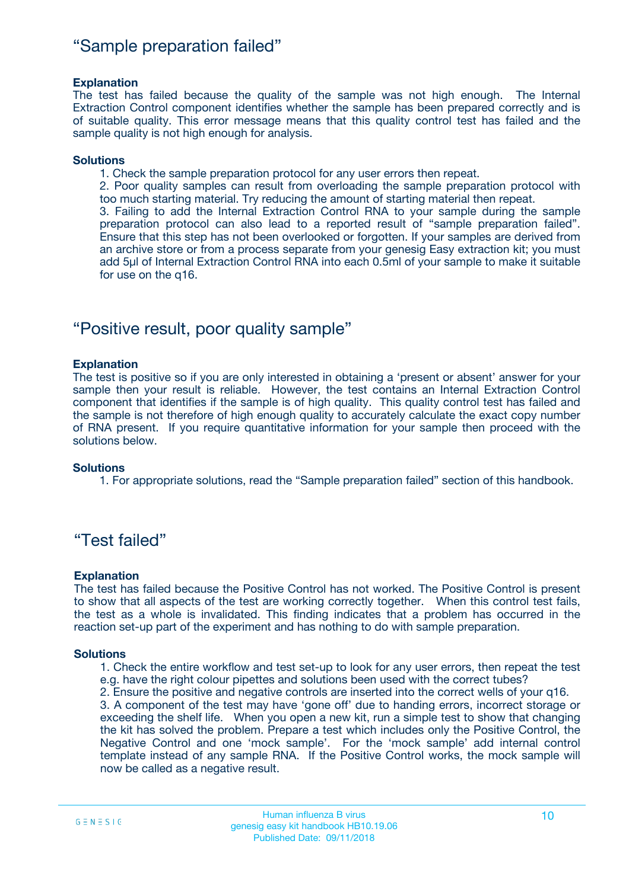### "Sample preparation failed"

#### **Explanation**

The test has failed because the quality of the sample was not high enough. The Internal Extraction Control component identifies whether the sample has been prepared correctly and is of suitable quality. This error message means that this quality control test has failed and the sample quality is not high enough for analysis.

#### **Solutions**

1. Check the sample preparation protocol for any user errors then repeat.

2. Poor quality samples can result from overloading the sample preparation protocol with too much starting material. Try reducing the amount of starting material then repeat.

3. Failing to add the Internal Extraction Control RNA to your sample during the sample preparation protocol can also lead to a reported result of "sample preparation failed". Ensure that this step has not been overlooked or forgotten. If your samples are derived from an archive store or from a process separate from your genesig Easy extraction kit; you must add 5µl of Internal Extraction Control RNA into each 0.5ml of your sample to make it suitable for use on the q16.

### "Positive result, poor quality sample"

#### **Explanation**

The test is positive so if you are only interested in obtaining a 'present or absent' answer for your sample then your result is reliable. However, the test contains an Internal Extraction Control component that identifies if the sample is of high quality. This quality control test has failed and the sample is not therefore of high enough quality to accurately calculate the exact copy number of RNA present. If you require quantitative information for your sample then proceed with the solutions below.

#### **Solutions**

1. For appropriate solutions, read the "Sample preparation failed" section of this handbook.

### "Test failed"

#### **Explanation**

The test has failed because the Positive Control has not worked. The Positive Control is present to show that all aspects of the test are working correctly together. When this control test fails, the test as a whole is invalidated. This finding indicates that a problem has occurred in the reaction set-up part of the experiment and has nothing to do with sample preparation.

#### **Solutions**

- 1. Check the entire workflow and test set-up to look for any user errors, then repeat the test e.g. have the right colour pipettes and solutions been used with the correct tubes?
- 2. Ensure the positive and negative controls are inserted into the correct wells of your q16.

3. A component of the test may have 'gone off' due to handing errors, incorrect storage or exceeding the shelf life. When you open a new kit, run a simple test to show that changing the kit has solved the problem. Prepare a test which includes only the Positive Control, the Negative Control and one 'mock sample'. For the 'mock sample' add internal control template instead of any sample RNA. If the Positive Control works, the mock sample will now be called as a negative result.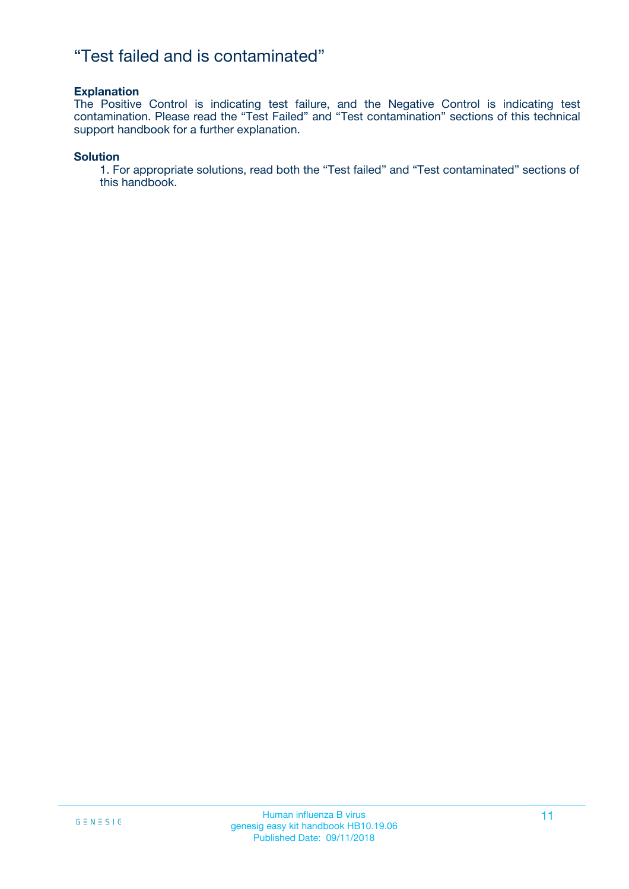### "Test failed and is contaminated"

#### **Explanation**

The Positive Control is indicating test failure, and the Negative Control is indicating test contamination. Please read the "Test Failed" and "Test contamination" sections of this technical support handbook for a further explanation.

#### **Solution**

1. For appropriate solutions, read both the "Test failed" and "Test contaminated" sections of this handbook.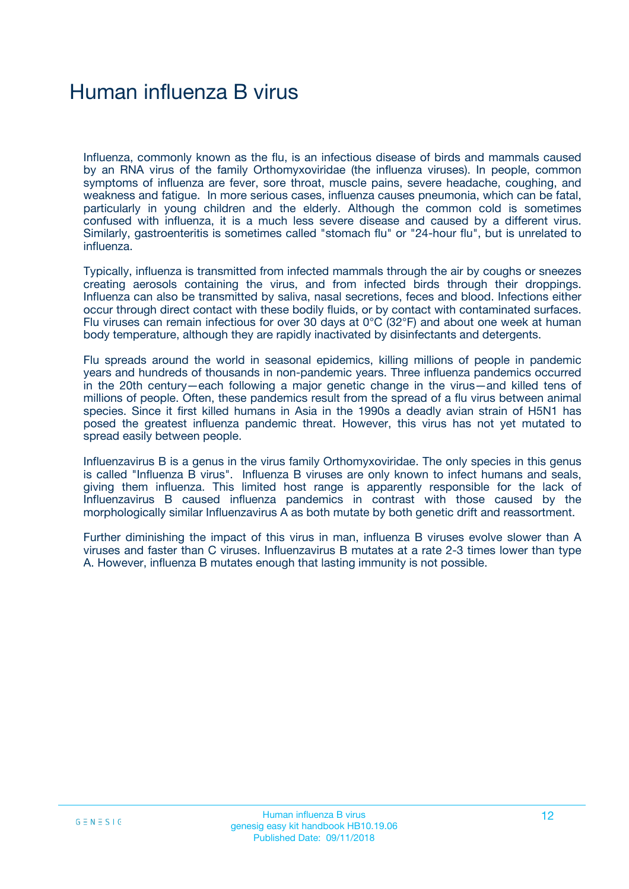## Human influenza B virus

Influenza, commonly known as the flu, is an infectious disease of birds and mammals caused by an RNA virus of the family Orthomyxoviridae (the influenza viruses). In people, common symptoms of influenza are fever, sore throat, muscle pains, severe headache, coughing, and weakness and fatigue. In more serious cases, influenza causes pneumonia, which can be fatal, particularly in young children and the elderly. Although the common cold is sometimes confused with influenza, it is a much less severe disease and caused by a different virus. Similarly, gastroenteritis is sometimes called "stomach flu" or "24-hour flu", but is unrelated to influenza.

Typically, influenza is transmitted from infected mammals through the air by coughs or sneezes creating aerosols containing the virus, and from infected birds through their droppings. Influenza can also be transmitted by saliva, nasal secretions, feces and blood. Infections either occur through direct contact with these bodily fluids, or by contact with contaminated surfaces. Flu viruses can remain infectious for over 30 days at 0°C (32°F) and about one week at human body temperature, although they are rapidly inactivated by disinfectants and detergents.

Flu spreads around the world in seasonal epidemics, killing millions of people in pandemic years and hundreds of thousands in non-pandemic years. Three influenza pandemics occurred in the 20th century—each following a major genetic change in the virus—and killed tens of millions of people. Often, these pandemics result from the spread of a flu virus between animal species. Since it first killed humans in Asia in the 1990s a deadly avian strain of H5N1 has posed the greatest influenza pandemic threat. However, this virus has not yet mutated to spread easily between people.

Influenzavirus B is a genus in the virus family Orthomyxoviridae. The only species in this genus is called "Influenza B virus". Influenza B viruses are only known to infect humans and seals, giving them influenza. This limited host range is apparently responsible for the lack of Influenzavirus B caused influenza pandemics in contrast with those caused by the morphologically similar Influenzavirus A as both mutate by both genetic drift and reassortment.

Further diminishing the impact of this virus in man, influenza B viruses evolve slower than A viruses and faster than C viruses. Influenzavirus B mutates at a rate 2-3 times lower than type A. However, influenza B mutates enough that lasting immunity is not possible.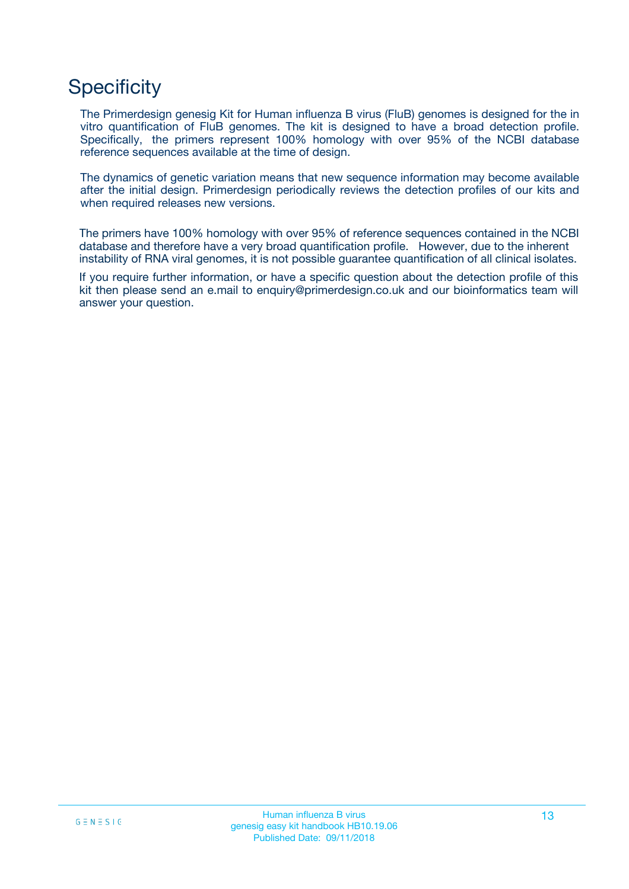## **Specificity**

The Primerdesign genesig Kit for Human influenza B virus (FluB) genomes is designed for the in vitro quantification of FluB genomes. The kit is designed to have a broad detection profile. Specifically, the primers represent 100% homology with over 95% of the NCBI database reference sequences available at the time of design.

The dynamics of genetic variation means that new sequence information may become available after the initial design. Primerdesign periodically reviews the detection profiles of our kits and when required releases new versions.

The primers have 100% homology with over 95% of reference sequences contained in the NCBI database and therefore have a very broad quantification profile. However, due to the inherent instability of RNA viral genomes, it is not possible guarantee quantification of all clinical isolates.

If you require further information, or have a specific question about the detection profile of this kit then please send an e.mail to enquiry@primerdesign.co.uk and our bioinformatics team will answer your question.